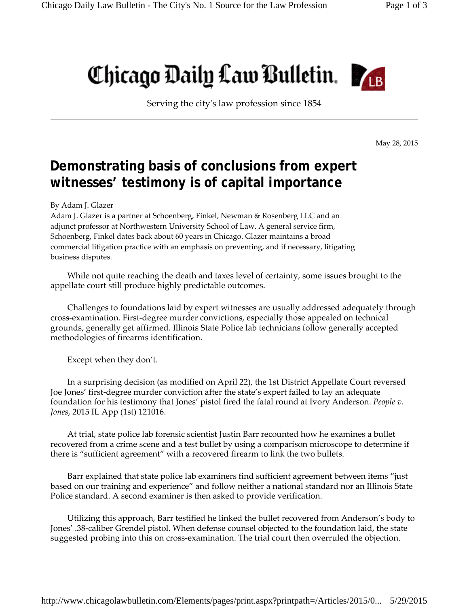## Chicago Daily Law Bulletin.

Serving the cityʹs law profession since 1854

May 28, 2015

## **Demonstrating basis of conclusions from expert witnesses' testimony is of capital importance**

By Adam J. Glazer

Adam J. Glazer is a partner at Schoenberg, Finkel, Newman & Rosenberg LLC and an adjunct professor at Northwestern University School of Law. A general service firm, Schoenberg, Finkel dates back about 60 years in Chicago. Glazer maintains a broad commercial litigation practice with an emphasis on preventing, and if necessary, litigating business disputes.

While not quite reaching the death and taxes level of certainty, some issues brought to the appellate court still produce highly predictable outcomes.

Challenges to foundations laid by expert witnesses are usually addressed adequately through cross-examination. First-degree murder convictions, especially those appealed on technical grounds, generally get affirmed. Illinois State Police lab technicians follow generally accepted methodologies of firearms identification.

Except when they don't.

In a surprising decision (as modified on April 22), the 1st District Appellate Court reversed Joe Jones' first-degree murder conviction after the state's expert failed to lay an adequate foundation for his testimony that Jones' pistol fired the fatal round at Ivory Anderson. *People v. Jones*, 2015 IL App (1st) 121016.

At trial, state police lab forensic scientist Justin Barr recounted how he examines a bullet recovered from a crime scene and a test bullet by using a comparison microscope to determine if there is "sufficient agreement" with a recovered firearm to link the two bullets.

Barr explained that state police lab examiners find sufficient agreement between items "just based on our training and experience" and follow neither a national standard nor an Illinois State Police standard. A second examiner is then asked to provide verification.

Utilizing this approach, Barr testified he linked the bullet recovered from Anderson's body to Jones' .38caliber Grendel pistol. When defense counsel objected to the foundation laid, the state suggested probing into this on cross-examination. The trial court then overruled the objection.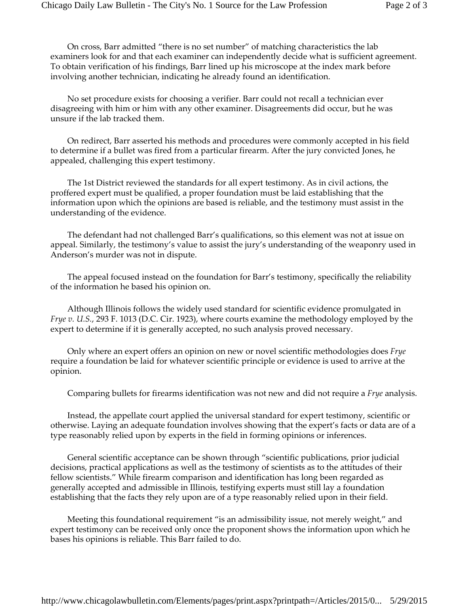On cross, Barr admitted "there is no set number" of matching characteristics the lab examiners look for and that each examiner can independently decide what is sufficient agreement. To obtain verification of his findings, Barr lined up his microscope at the index mark before involving another technician, indicating he already found an identification.

No set procedure exists for choosing a verifier. Barr could not recall a technician ever disagreeing with him or him with any other examiner. Disagreements did occur, but he was unsure if the lab tracked them.

On redirect, Barr asserted his methods and procedures were commonly accepted in his field to determine if a bullet was fired from a particular firearm. After the jury convicted Jones, he appealed, challenging this expert testimony.

The 1st District reviewed the standards for all expert testimony. As in civil actions, the proffered expert must be qualified, a proper foundation must be laid establishing that the information upon which the opinions are based is reliable, and the testimony must assist in the understanding of the evidence.

The defendant had not challenged Barr's qualifications, so this element was not at issue on appeal. Similarly, the testimony's value to assist the jury's understanding of the weaponry used in Anderson's murder was not in dispute.

The appeal focused instead on the foundation for Barr's testimony, specifically the reliability of the information he based his opinion on.

Although Illinois follows the widely used standard for scientific evidence promulgated in *Frye v. U.S.*, 293 F. 1013 (D.C. Cir. 1923), where courts examine the methodology employed by the expert to determine if it is generally accepted, no such analysis proved necessary.

Only where an expert offers an opinion on new or novel scientific methodologies does *Frye* require a foundation be laid for whatever scientific principle or evidence is used to arrive at the opinion.

Comparing bullets for firearms identification was not new and did not require a *Frye* analysis.

Instead, the appellate court applied the universal standard for expert testimony, scientific or otherwise. Laying an adequate foundation involves showing that the expert's facts or data are of a type reasonably relied upon by experts in the field in forming opinions or inferences.

General scientific acceptance can be shown through "scientific publications, prior judicial decisions, practical applications as well as the testimony of scientists as to the attitudes of their fellow scientists." While firearm comparison and identification has long been regarded as generally accepted and admissible in Illinois, testifying experts must still lay a foundation establishing that the facts they rely upon are of a type reasonably relied upon in their field.

Meeting this foundational requirement "is an admissibility issue, not merely weight," and expert testimony can be received only once the proponent shows the information upon which he bases his opinions is reliable. This Barr failed to do.